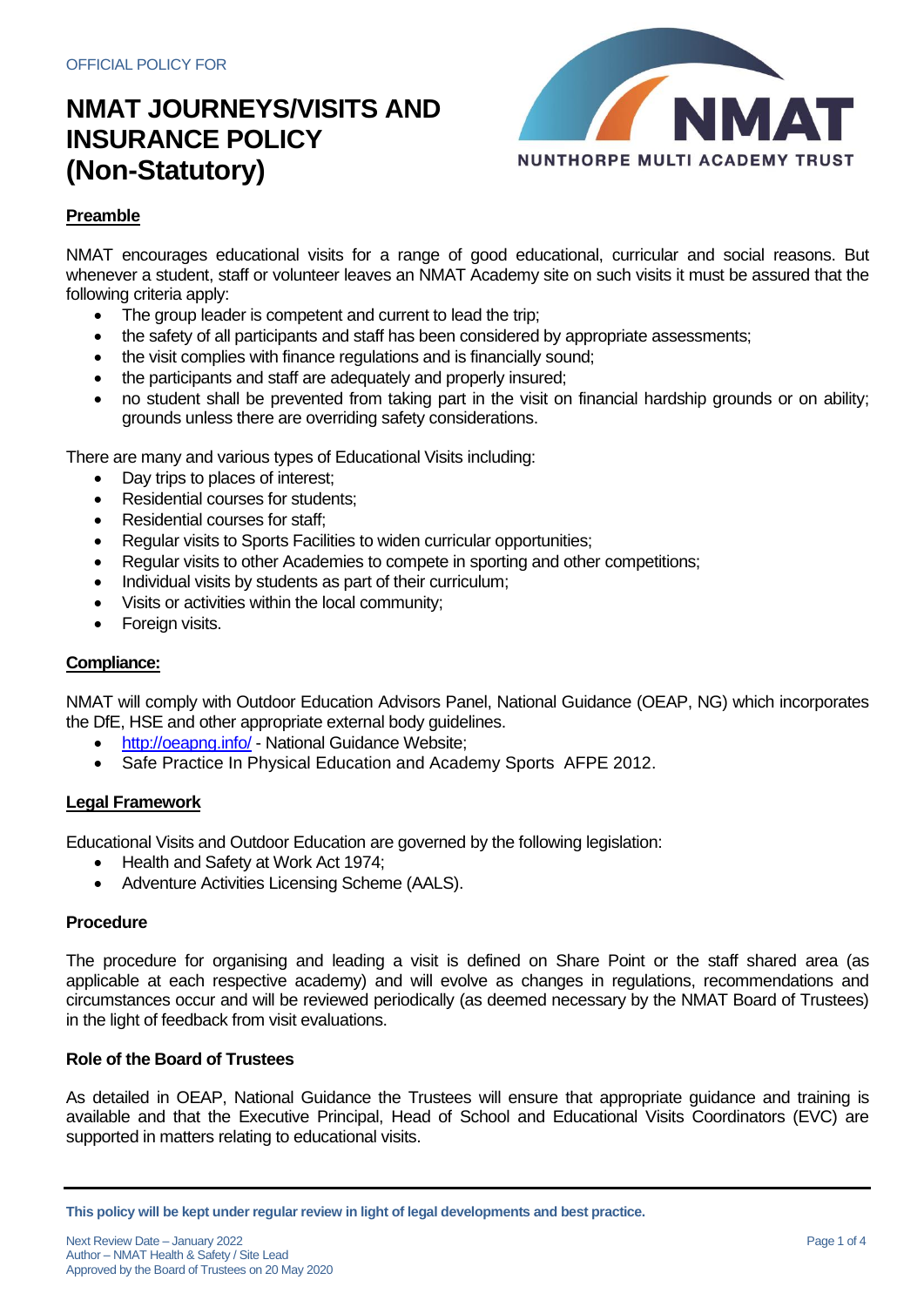

## **Preamble**

NMAT encourages educational visits for a range of good educational, curricular and social reasons. But whenever a student, staff or volunteer leaves an NMAT Academy site on such visits it must be assured that the following criteria apply:

- The group leader is competent and current to lead the trip;
- the safety of all participants and staff has been considered by appropriate assessments;
- the visit complies with finance regulations and is financially sound;
- the participants and staff are adequately and properly insured;
- no student shall be prevented from taking part in the visit on financial hardship grounds or on ability; grounds unless there are overriding safety considerations.

There are many and various types of Educational Visits including:

- Day trips to places of interest;
- Residential courses for students;
- Residential courses for staff;
- Regular visits to Sports Facilities to widen curricular opportunities;
- Regular visits to other Academies to compete in sporting and other competitions;
- Individual visits by students as part of their curriculum;
- Visits or activities within the local community;
- Foreign visits.

## **Compliance:**

NMAT will comply with Outdoor Education Advisors Panel, National Guidance (OEAP, NG) which incorporates the DfE, HSE and other appropriate external body guidelines.

- <http://oeapng.info/> National Guidance Website;
- Safe Practice In Physical Education and Academy Sports AFPE 2012.

### **Legal Framework**

Educational Visits and Outdoor Education are governed by the following legislation:

- Health and Safety at Work Act 1974;
- Adventure Activities Licensing Scheme (AALS).

### **Procedure**

The procedure for organising and leading a visit is defined on Share Point or the staff shared area (as applicable at each respective academy) and will evolve as changes in regulations, recommendations and circumstances occur and will be reviewed periodically (as deemed necessary by the NMAT Board of Trustees) in the light of feedback from visit evaluations.

### **Role of the Board of Trustees**

As detailed in OEAP, National Guidance the Trustees will ensure that appropriate guidance and training is available and that the Executive Principal, Head of School and Educational Visits Coordinators (EVC) are supported in matters relating to educational visits.

**This policy will be kept under regular review in light of legal developments and best practice.**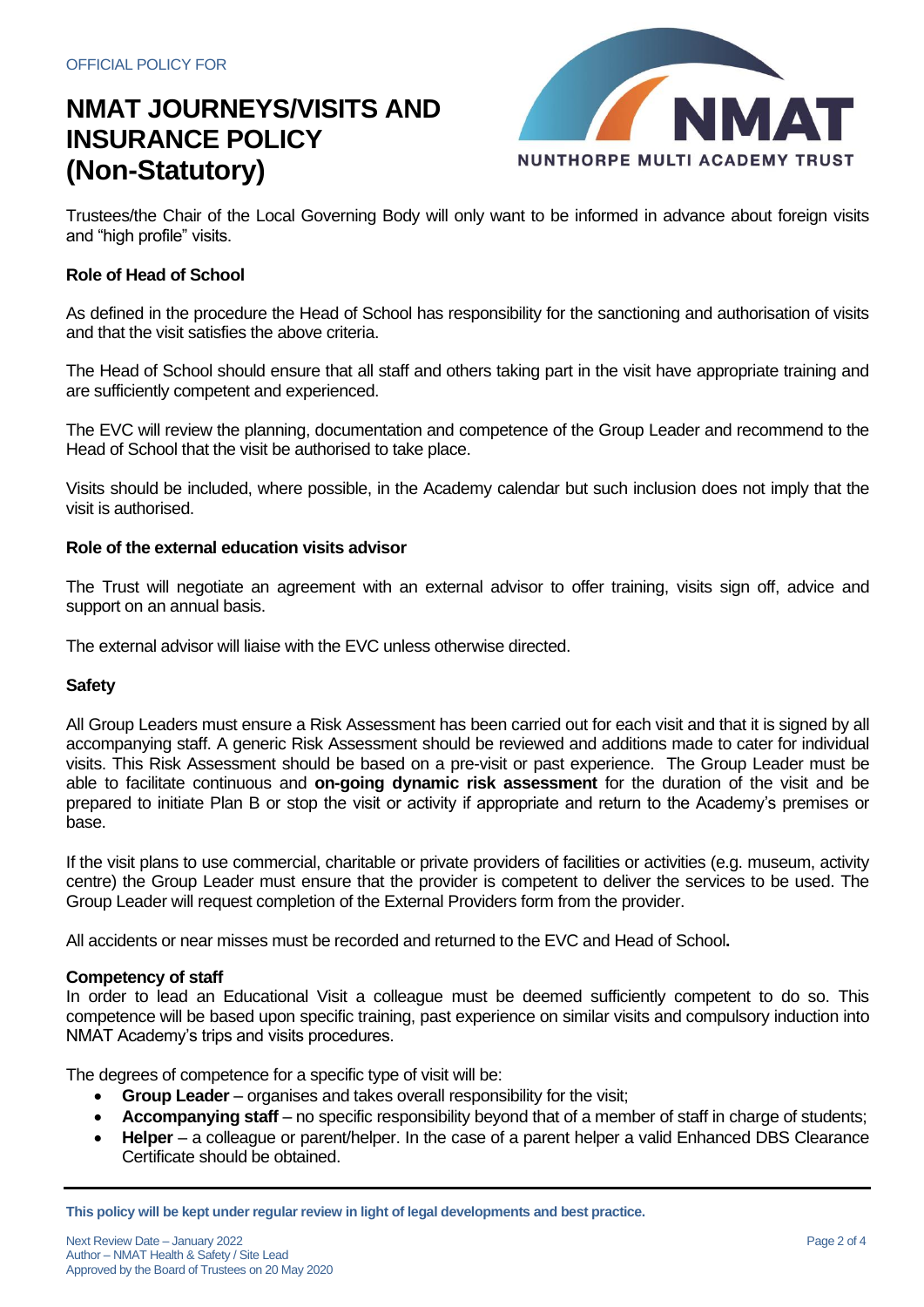

Trustees/the Chair of the Local Governing Body will only want to be informed in advance about foreign visits and "high profile" visits.

## **Role of Head of School**

As defined in the procedure the Head of School has responsibility for the sanctioning and authorisation of visits and that the visit satisfies the above criteria.

The Head of School should ensure that all staff and others taking part in the visit have appropriate training and are sufficiently competent and experienced.

The EVC will review the planning, documentation and competence of the Group Leader and recommend to the Head of School that the visit be authorised to take place.

Visits should be included, where possible, in the Academy calendar but such inclusion does not imply that the visit is authorised.

### **Role of the external education visits advisor**

The Trust will negotiate an agreement with an external advisor to offer training, visits sign off, advice and support on an annual basis.

The external advisor will liaise with the EVC unless otherwise directed.

### **Safety**

All Group Leaders must ensure a Risk Assessment has been carried out for each visit and that it is signed by all accompanying staff. A generic Risk Assessment should be reviewed and additions made to cater for individual visits. This Risk Assessment should be based on a pre-visit or past experience. The Group Leader must be able to facilitate continuous and **on-going dynamic risk assessment** for the duration of the visit and be prepared to initiate Plan B or stop the visit or activity if appropriate and return to the Academy's premises or base.

If the visit plans to use commercial, charitable or private providers of facilities or activities (e.g. museum, activity centre) the Group Leader must ensure that the provider is competent to deliver the services to be used. The Group Leader will request completion of the External Providers form from the provider.

All accidents or near misses must be recorded and returned to the EVC and Head of School**.**

### **Competency of staff**

In order to lead an Educational Visit a colleague must be deemed sufficiently competent to do so. This competence will be based upon specific training, past experience on similar visits and compulsory induction into NMAT Academy's trips and visits procedures.

The degrees of competence for a specific type of visit will be:

- **Group Leader**  organises and takes overall responsibility for the visit;
- **Accompanying staff** no specific responsibility beyond that of a member of staff in charge of students;
- **Helper** a colleague or parent/helper. In the case of a parent helper a valid Enhanced DBS Clearance Certificate should be obtained.

**This policy will be kept under regular review in light of legal developments and best practice.**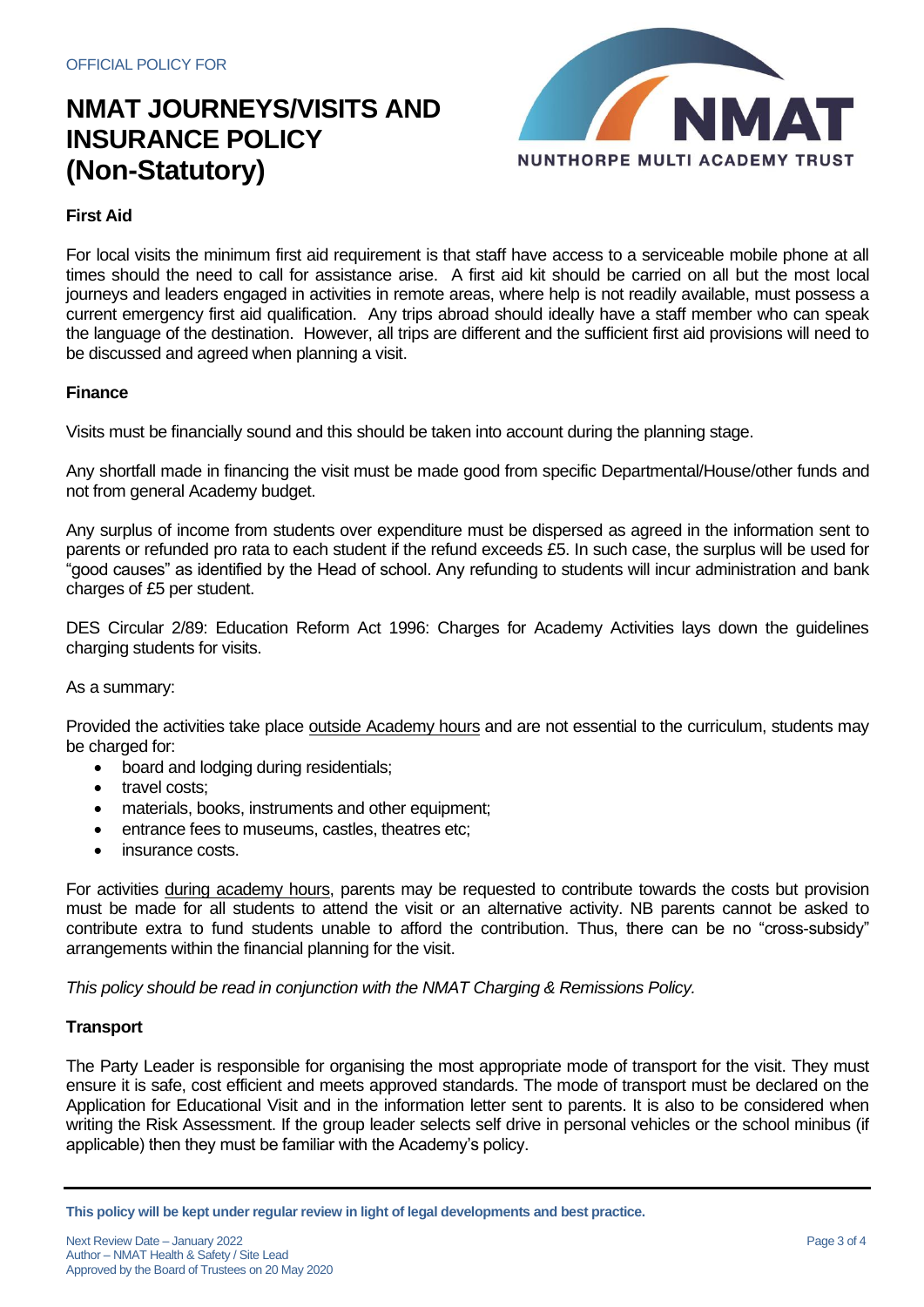

## **First Aid**

For local visits the minimum first aid requirement is that staff have access to a serviceable mobile phone at all times should the need to call for assistance arise. A first aid kit should be carried on all but the most local journeys and leaders engaged in activities in remote areas, where help is not readily available, must possess a current emergency first aid qualification. Any trips abroad should ideally have a staff member who can speak the language of the destination. However, all trips are different and the sufficient first aid provisions will need to be discussed and agreed when planning a visit.

## **Finance**

Visits must be financially sound and this should be taken into account during the planning stage.

Any shortfall made in financing the visit must be made good from specific Departmental/House/other funds and not from general Academy budget.

Any surplus of income from students over expenditure must be dispersed as agreed in the information sent to parents or refunded pro rata to each student if the refund exceeds £5. In such case, the surplus will be used for "good causes" as identified by the Head of school. Any refunding to students will incur administration and bank charges of £5 per student.

DES Circular 2/89: Education Reform Act 1996: Charges for Academy Activities lays down the guidelines charging students for visits.

### As a summary:

Provided the activities take place outside Academy hours and are not essential to the curriculum, students may be charged for:

- board and lodging during residentials;
- travel costs;
- materials, books, instruments and other equipment;
- entrance fees to museums, castles, theatres etc;
- insurance costs.

For activities during academy hours, parents may be requested to contribute towards the costs but provision must be made for all students to attend the visit or an alternative activity. NB parents cannot be asked to contribute extra to fund students unable to afford the contribution. Thus, there can be no "cross-subsidy" arrangements within the financial planning for the visit.

*This policy should be read in conjunction with the NMAT Charging & Remissions Policy.*

## **Transport**

The Party Leader is responsible for organising the most appropriate mode of transport for the visit. They must ensure it is safe, cost efficient and meets approved standards. The mode of transport must be declared on the Application for Educational Visit and in the information letter sent to parents. It is also to be considered when writing the Risk Assessment. If the group leader selects self drive in personal vehicles or the school minibus (if applicable) then they must be familiar with the Academy's policy.

**This policy will be kept under regular review in light of legal developments and best practice.**